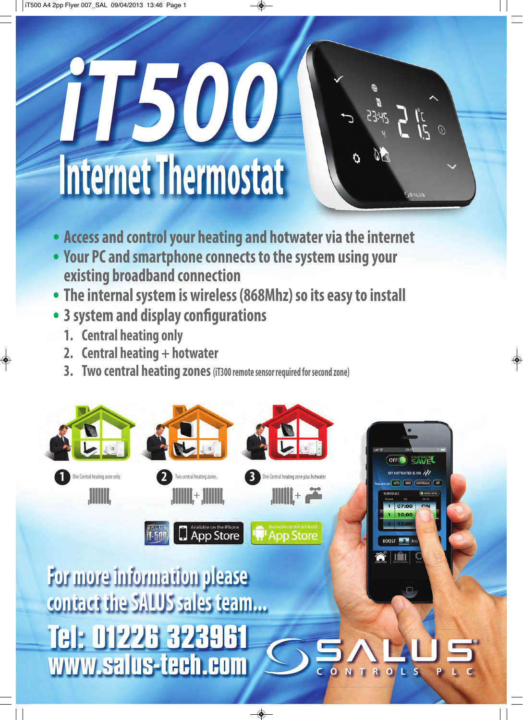# **Internet Thermostat** *iT500*

- $\int_{\frac{d}{2}}^{\frac{d}{2}} \int_{\frac{d}{2}}^{\frac{d}{2}} \int_{\frac{d}{2}}^{\frac{d}{2}} \int_{\frac{d}{2}}^{\frac{d}{2}}$
- **• Access and control your heating and hotwater via the internet**
- **• Your PC and smartphone connects to the system using your existing broadband connection**
- **• The internal system is wireless (868Mhz) so its easy to install**
- **• 3 system and display configurations**
	- **1. Central heating only**
	- **2. Central heating + hotwater**
	- **3. Two central heating zones (iT300 remote sensor required for second zone)**